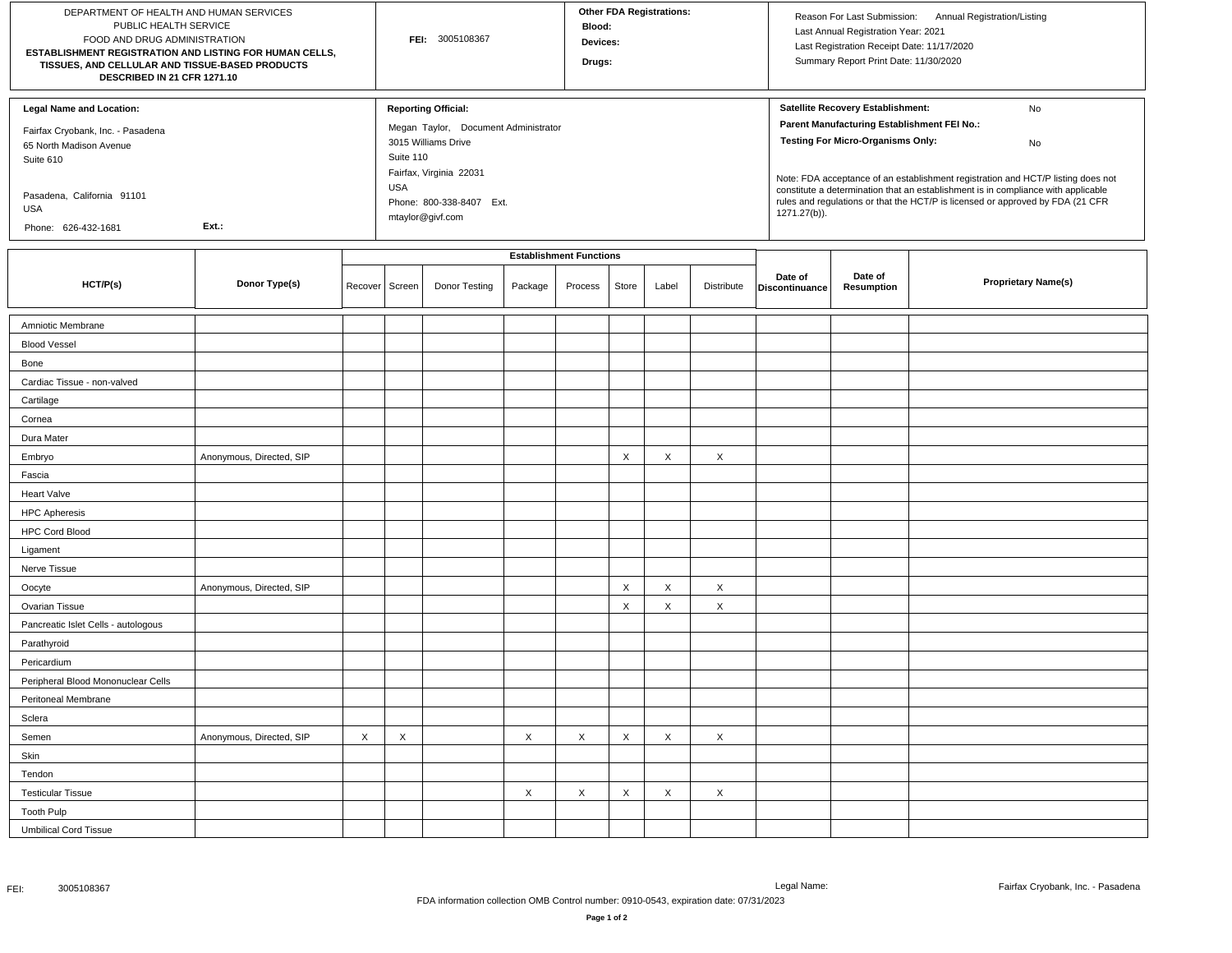| DEPARTMENT OF HEALTH AND HUMAN SERVICES<br>PUBLIC HEALTH SERVICE<br>FOOD AND DRUG ADMINISTRATION<br>ESTABLISHMENT REGISTRATION AND LISTING FOR HUMAN CELLS,<br>TISSUES, AND CELLULAR AND TISSUE-BASED PRODUCTS<br>DESCRIBED IN 21 CFR 1271.10 |                          |                  | FEI: 3005108367                |                                                                                                                                                                                                 |         |         | <b>Other FDA Registrations:</b><br>Blood:<br>Devices:<br>Drugs: |       |            |                                                                                                                                                                                                                                                                                                                                                                                                                     | Annual Registration/Listing<br>Reason For Last Submission:<br>Last Annual Registration Year: 2021<br>Last Registration Receipt Date: 11/17/2020<br>Summary Report Print Date: 11/30/2020 |                            |  |
|-----------------------------------------------------------------------------------------------------------------------------------------------------------------------------------------------------------------------------------------------|--------------------------|------------------|--------------------------------|-------------------------------------------------------------------------------------------------------------------------------------------------------------------------------------------------|---------|---------|-----------------------------------------------------------------|-------|------------|---------------------------------------------------------------------------------------------------------------------------------------------------------------------------------------------------------------------------------------------------------------------------------------------------------------------------------------------------------------------------------------------------------------------|------------------------------------------------------------------------------------------------------------------------------------------------------------------------------------------|----------------------------|--|
| <b>Legal Name and Location:</b><br>Fairfax Cryobank, Inc. - Pasadena<br>65 North Madison Avenue<br>Suite 610<br>Pasadena, California 91101<br>USA<br>Ext.:<br>Phone: 626-432-1681                                                             |                          |                  |                                | <b>Reporting Official:</b><br>Megan Taylor, Document Administrator<br>3015 Williams Drive<br>Suite 110<br>Fairfax, Virginia 22031<br><b>USA</b><br>Phone: 800-338-8407 Ext.<br>mtaylor@givf.com |         |         |                                                                 |       |            | Satellite Recovery Establishment:<br>No<br>Parent Manufacturing Establishment FEI No.:<br><b>Testing For Micro-Organisms Only:</b><br>No<br>Note: FDA acceptance of an establishment registration and HCT/P listing does not<br>constitute a determination that an establishment is in compliance with applicable<br>rules and regulations or that the HCT/P is licensed or approved by FDA (21 CFR<br>1271.27(b)). |                                                                                                                                                                                          |                            |  |
|                                                                                                                                                                                                                                               |                          |                  | <b>Establishment Functions</b> |                                                                                                                                                                                                 |         |         |                                                                 |       |            |                                                                                                                                                                                                                                                                                                                                                                                                                     |                                                                                                                                                                                          |                            |  |
| HCT/P(s)                                                                                                                                                                                                                                      | Donor Type(s)            | Recover   Screen |                                | Donor Testing                                                                                                                                                                                   | Package | Process | Store                                                           | Label | Distribute | Date of<br>Discontinuance                                                                                                                                                                                                                                                                                                                                                                                           | Date of<br>Resumption                                                                                                                                                                    | <b>Proprietary Name(s)</b> |  |
| Amniotic Membrane                                                                                                                                                                                                                             |                          |                  |                                |                                                                                                                                                                                                 |         |         |                                                                 |       |            |                                                                                                                                                                                                                                                                                                                                                                                                                     |                                                                                                                                                                                          |                            |  |
| <b>Blood Vessel</b>                                                                                                                                                                                                                           |                          |                  |                                |                                                                                                                                                                                                 |         |         |                                                                 |       |            |                                                                                                                                                                                                                                                                                                                                                                                                                     |                                                                                                                                                                                          |                            |  |
| Bone                                                                                                                                                                                                                                          |                          |                  |                                |                                                                                                                                                                                                 |         |         |                                                                 |       |            |                                                                                                                                                                                                                                                                                                                                                                                                                     |                                                                                                                                                                                          |                            |  |
| Cardiac Tissue - non-valved                                                                                                                                                                                                                   |                          |                  |                                |                                                                                                                                                                                                 |         |         |                                                                 |       |            |                                                                                                                                                                                                                                                                                                                                                                                                                     |                                                                                                                                                                                          |                            |  |
| Cartilage                                                                                                                                                                                                                                     |                          |                  |                                |                                                                                                                                                                                                 |         |         |                                                                 |       |            |                                                                                                                                                                                                                                                                                                                                                                                                                     |                                                                                                                                                                                          |                            |  |
| Cornea                                                                                                                                                                                                                                        |                          |                  |                                |                                                                                                                                                                                                 |         |         |                                                                 |       |            |                                                                                                                                                                                                                                                                                                                                                                                                                     |                                                                                                                                                                                          |                            |  |
| Dura Mater                                                                                                                                                                                                                                    |                          |                  |                                |                                                                                                                                                                                                 |         |         |                                                                 |       |            |                                                                                                                                                                                                                                                                                                                                                                                                                     |                                                                                                                                                                                          |                            |  |
| Embryo                                                                                                                                                                                                                                        | Anonymous, Directed, SIP |                  |                                |                                                                                                                                                                                                 |         |         | X                                                               | X     | X          |                                                                                                                                                                                                                                                                                                                                                                                                                     |                                                                                                                                                                                          |                            |  |
| Fascia                                                                                                                                                                                                                                        |                          |                  |                                |                                                                                                                                                                                                 |         |         |                                                                 |       |            |                                                                                                                                                                                                                                                                                                                                                                                                                     |                                                                                                                                                                                          |                            |  |
| Heart Valve                                                                                                                                                                                                                                   |                          |                  |                                |                                                                                                                                                                                                 |         |         |                                                                 |       |            |                                                                                                                                                                                                                                                                                                                                                                                                                     |                                                                                                                                                                                          |                            |  |
| <b>HPC Apheresis</b>                                                                                                                                                                                                                          |                          |                  |                                |                                                                                                                                                                                                 |         |         |                                                                 |       |            |                                                                                                                                                                                                                                                                                                                                                                                                                     |                                                                                                                                                                                          |                            |  |
| <b>HPC Cord Blood</b>                                                                                                                                                                                                                         |                          |                  |                                |                                                                                                                                                                                                 |         |         |                                                                 |       |            |                                                                                                                                                                                                                                                                                                                                                                                                                     |                                                                                                                                                                                          |                            |  |
| Ligament                                                                                                                                                                                                                                      |                          |                  |                                |                                                                                                                                                                                                 |         |         |                                                                 |       |            |                                                                                                                                                                                                                                                                                                                                                                                                                     |                                                                                                                                                                                          |                            |  |
| Nerve Tissue                                                                                                                                                                                                                                  |                          |                  |                                |                                                                                                                                                                                                 |         |         |                                                                 |       |            |                                                                                                                                                                                                                                                                                                                                                                                                                     |                                                                                                                                                                                          |                            |  |
| Oocyte                                                                                                                                                                                                                                        | Anonymous, Directed, SIP |                  |                                |                                                                                                                                                                                                 |         |         | X                                                               | X     | X          |                                                                                                                                                                                                                                                                                                                                                                                                                     |                                                                                                                                                                                          |                            |  |
| Ovarian Tissue                                                                                                                                                                                                                                |                          |                  |                                |                                                                                                                                                                                                 |         |         | X                                                               | X     | $\times$   |                                                                                                                                                                                                                                                                                                                                                                                                                     |                                                                                                                                                                                          |                            |  |
| Pancreatic Islet Cells - autologous                                                                                                                                                                                                           |                          |                  |                                |                                                                                                                                                                                                 |         |         |                                                                 |       |            |                                                                                                                                                                                                                                                                                                                                                                                                                     |                                                                                                                                                                                          |                            |  |
| Parathyroid                                                                                                                                                                                                                                   |                          |                  |                                |                                                                                                                                                                                                 |         |         |                                                                 |       |            |                                                                                                                                                                                                                                                                                                                                                                                                                     |                                                                                                                                                                                          |                            |  |
| Pericardium                                                                                                                                                                                                                                   |                          |                  |                                |                                                                                                                                                                                                 |         |         |                                                                 |       |            |                                                                                                                                                                                                                                                                                                                                                                                                                     |                                                                                                                                                                                          |                            |  |
| Peripheral Blood Mononuclear Cells                                                                                                                                                                                                            |                          |                  |                                |                                                                                                                                                                                                 |         |         |                                                                 |       |            |                                                                                                                                                                                                                                                                                                                                                                                                                     |                                                                                                                                                                                          |                            |  |
| Peritoneal Membrane                                                                                                                                                                                                                           |                          |                  |                                |                                                                                                                                                                                                 |         |         |                                                                 |       |            |                                                                                                                                                                                                                                                                                                                                                                                                                     |                                                                                                                                                                                          |                            |  |
| Sclera                                                                                                                                                                                                                                        |                          |                  |                                |                                                                                                                                                                                                 |         |         |                                                                 |       |            |                                                                                                                                                                                                                                                                                                                                                                                                                     |                                                                                                                                                                                          |                            |  |
| Semen                                                                                                                                                                                                                                         | Anonymous, Directed, SIP | X                | X                              |                                                                                                                                                                                                 | X       | X       | $\times$                                                        | X     | $\times$   |                                                                                                                                                                                                                                                                                                                                                                                                                     |                                                                                                                                                                                          |                            |  |
| Skin                                                                                                                                                                                                                                          |                          |                  |                                |                                                                                                                                                                                                 |         |         |                                                                 |       |            |                                                                                                                                                                                                                                                                                                                                                                                                                     |                                                                                                                                                                                          |                            |  |
| Tendon                                                                                                                                                                                                                                        |                          |                  |                                |                                                                                                                                                                                                 |         |         |                                                                 |       |            |                                                                                                                                                                                                                                                                                                                                                                                                                     |                                                                                                                                                                                          |                            |  |
| <b>Testicular Tissue</b>                                                                                                                                                                                                                      |                          |                  |                                |                                                                                                                                                                                                 | X       | X       | X                                                               | X     | $\times$   |                                                                                                                                                                                                                                                                                                                                                                                                                     |                                                                                                                                                                                          |                            |  |
| <b>Tooth Pulp</b>                                                                                                                                                                                                                             |                          |                  |                                |                                                                                                                                                                                                 |         |         |                                                                 |       |            |                                                                                                                                                                                                                                                                                                                                                                                                                     |                                                                                                                                                                                          |                            |  |
| <b>Umbilical Cord Tissue</b>                                                                                                                                                                                                                  |                          |                  |                                |                                                                                                                                                                                                 |         |         |                                                                 |       |            |                                                                                                                                                                                                                                                                                                                                                                                                                     |                                                                                                                                                                                          |                            |  |